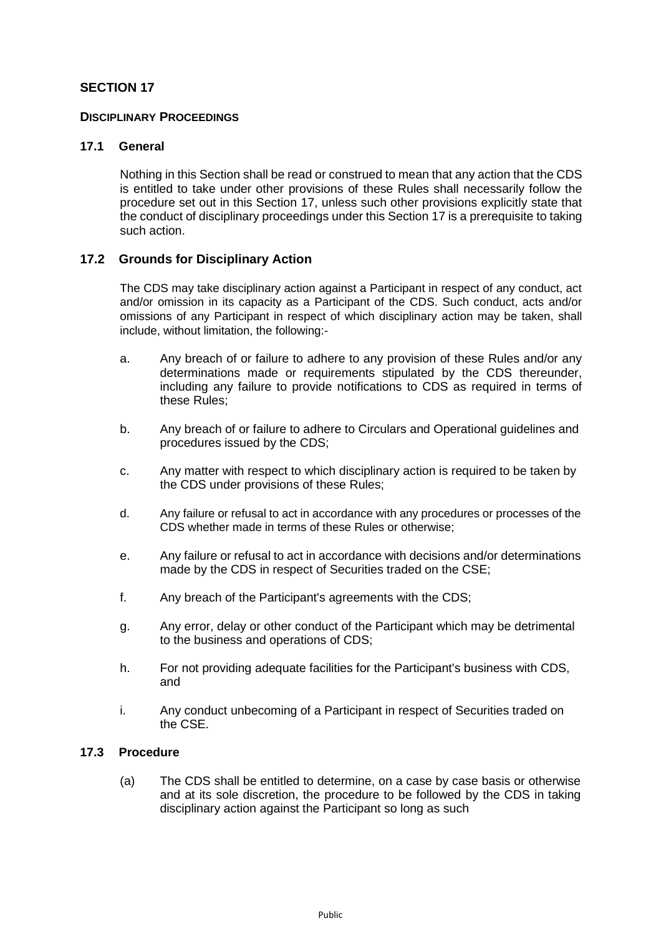# **SECTION 17**

### **DISCIPLINARY PROCEEDINGS**

### **17.1 General**

Nothing in this Section shall be read or construed to mean that any action that the CDS is entitled to take under other provisions of these Rules shall necessarily follow the procedure set out in this Section 17, unless such other provisions explicitly state that the conduct of disciplinary proceedings under this Section 17 is a prerequisite to taking such action.

### **17.2 Grounds for Disciplinary Action**

The CDS may take disciplinary action against a Participant in respect of any conduct, act and/or omission in its capacity as a Participant of the CDS. Such conduct, acts and/or omissions of any Participant in respect of which disciplinary action may be taken, shall include, without limitation, the following:-

- a. Any breach of or failure to adhere to any provision of these Rules and/or any determinations made or requirements stipulated by the CDS thereunder, including any failure to provide notifications to CDS as required in terms of these Rules;
- b. Any breach of or failure to adhere to Circulars and Operational guidelines and procedures issued by the CDS;
- c. Any matter with respect to which disciplinary action is required to be taken by the CDS under provisions of these Rules;
- d. Any failure or refusal to act in accordance with any procedures or processes of the CDS whether made in terms of these Rules or otherwise;
- e. Any failure or refusal to act in accordance with decisions and/or determinations made by the CDS in respect of Securities traded on the CSE;
- f. Any breach of the Participant's agreements with the CDS;
- g. Any error, delay or other conduct of the Participant which may be detrimental to the business and operations of CDS;
- h. For not providing adequate facilities for the Participant's business with CDS, and
- i. Any conduct unbecoming of a Participant in respect of Securities traded on the CSE.

#### **17.3 Procedure**

(a) The CDS shall be entitled to determine, on a case by case basis or otherwise and at its sole discretion, the procedure to be followed by the CDS in taking disciplinary action against the Participant so long as such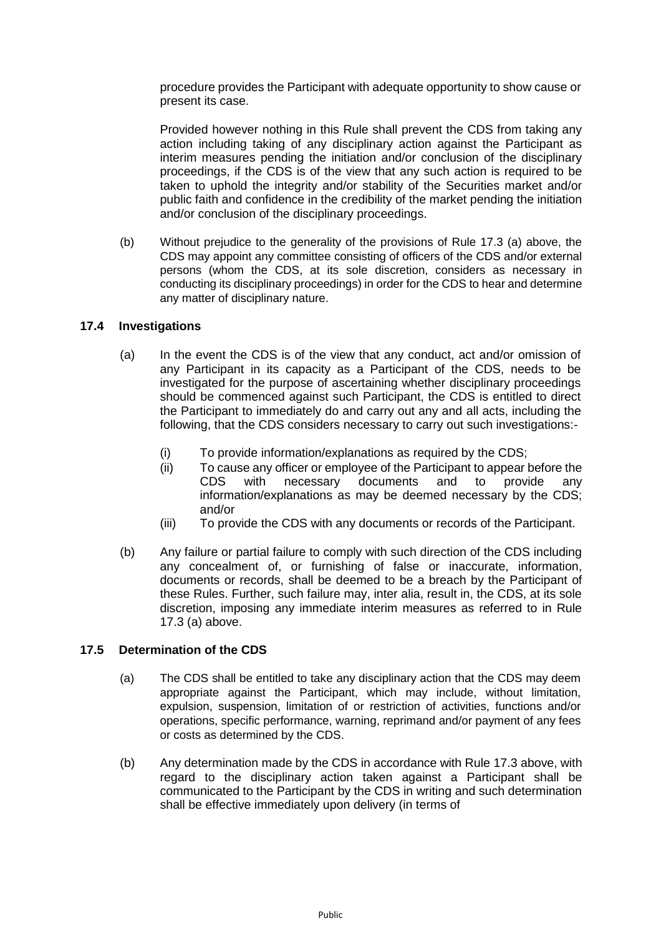procedure provides the Participant with adequate opportunity to show cause or present its case.

Provided however nothing in this Rule shall prevent the CDS from taking any action including taking of any disciplinary action against the Participant as interim measures pending the initiation and/or conclusion of the disciplinary proceedings, if the CDS is of the view that any such action is required to be taken to uphold the integrity and/or stability of the Securities market and/or public faith and confidence in the credibility of the market pending the initiation and/or conclusion of the disciplinary proceedings.

(b) Without prejudice to the generality of the provisions of Rule 17.3 (a) above, the CDS may appoint any committee consisting of officers of the CDS and/or external persons (whom the CDS, at its sole discretion, considers as necessary in conducting its disciplinary proceedings) in order for the CDS to hear and determine any matter of disciplinary nature.

### **17.4 Investigations**

- (a) In the event the CDS is of the view that any conduct, act and/or omission of any Participant in its capacity as a Participant of the CDS, needs to be investigated for the purpose of ascertaining whether disciplinary proceedings should be commenced against such Participant, the CDS is entitled to direct the Participant to immediately do and carry out any and all acts, including the following, that the CDS considers necessary to carry out such investigations:-
	- (i) To provide information/explanations as required by the CDS;
	- (ii) To cause any officer or employee of the Participant to appear before the CDS with necessary documents and to provide any information/explanations as may be deemed necessary by the CDS; and/or
	- (iii) To provide the CDS with any documents or records of the Participant.
- (b) Any failure or partial failure to comply with such direction of the CDS including any concealment of, or furnishing of false or inaccurate, information, documents or records, shall be deemed to be a breach by the Participant of these Rules. Further, such failure may, inter alia, result in, the CDS, at its sole discretion, imposing any immediate interim measures as referred to in Rule 17.3 (a) above.

# **17.5 Determination of the CDS**

- (a) The CDS shall be entitled to take any disciplinary action that the CDS may deem appropriate against the Participant, which may include, without limitation, expulsion, suspension, limitation of or restriction of activities, functions and/or operations, specific performance, warning, reprimand and/or payment of any fees or costs as determined by the CDS.
- (b) Any determination made by the CDS in accordance with Rule 17.3 above, with regard to the disciplinary action taken against a Participant shall be communicated to the Participant by the CDS in writing and such determination shall be effective immediately upon delivery (in terms of